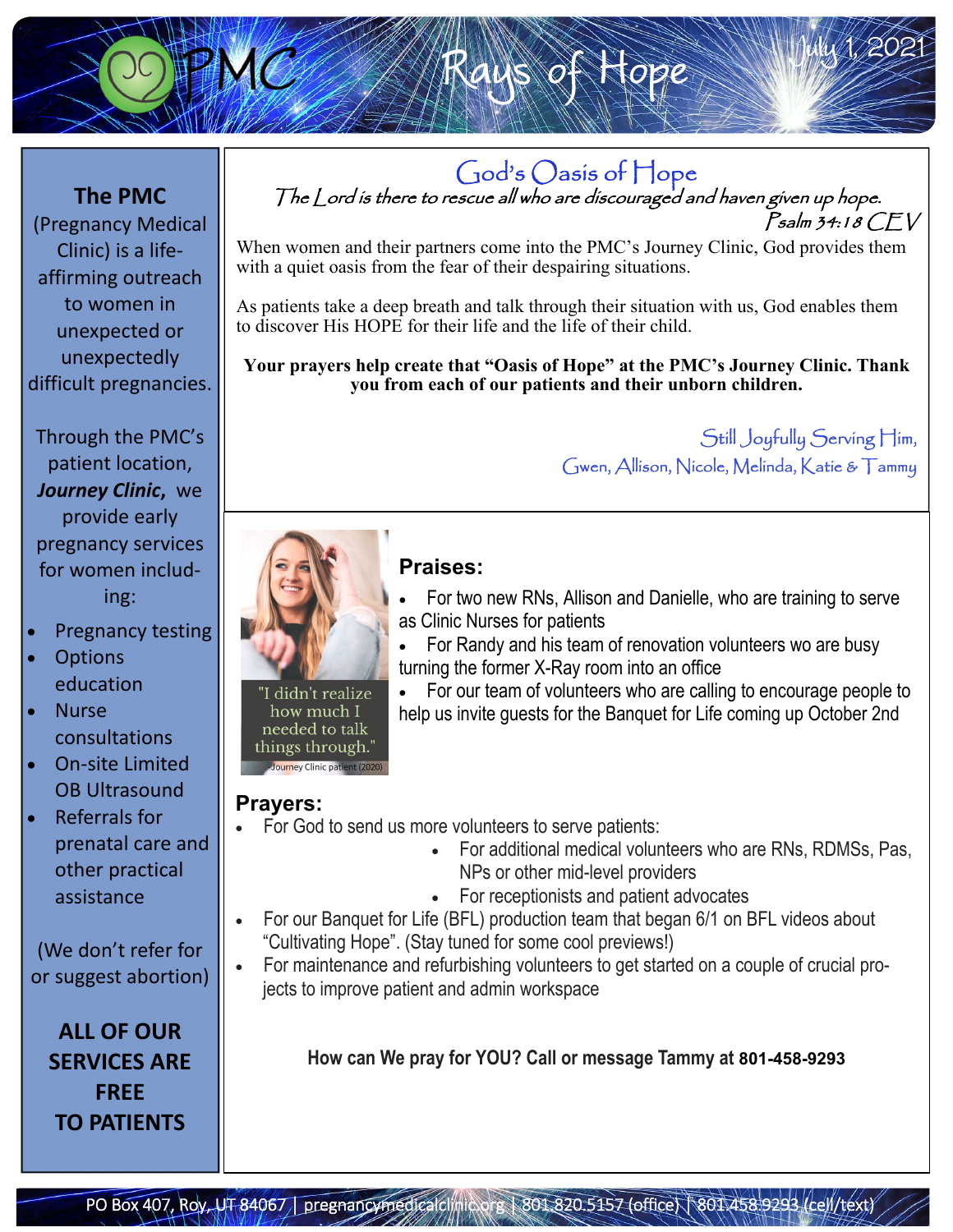

**The PMC**  (Pregnancy Medical Clinic) is a life‐ affirming outreach to women in unexpected or unexpectedly difficult pregnancies.

Through the PMC's patient location, *Journey Clinic***,** we provide early pregnancy services for women includ‐ ing:

- Pregnancy testing
- **Options** education
- Nurse consultations
- On‐site Limited OB Ultrasound

 Referrals for prenatal care and other practical assistance

(We don't refer for or suggest abortion)

**ALL OF OUR SERVICES ARE FREE TO PATIENTS**

God's Oasis of Hope<br>The Lord is there to rescue all who are discouraged and haven given up hope. Psalm 34:18 CEV

of Rope

When women and their partners come into the PMC's Journey Clinic, God provides them with a quiet oasis from the fear of their despairing situations.

As patients take a deep breath and talk through their situation with us, God enables them to discover His HOPE for their life and the life of their child.

**Your prayers help create that "Oasis of Hope" at the PMC's Journey Clinic. Thank you from each of our patients and their unborn children.** 

> Still Joyfully Serving Him, Gwen, Allison, Nicole, Melinda, Katie & Tammy

July 1, 2021



needed to talk things through. Journey Clinic pa

## **Praises:**

- For two new RNs, Allison and Danielle, who are training to serve as Clinic Nurses for patients
- For Randy and his team of renovation volunteers wo are busy turning the former X-Ray room into an office
- For our team of volunteers who are calling to encourage people to help us invite guests for the Banquet for Life coming up October 2nd

### **Prayers:**

- For God to send us more volunteers to serve patients:
	- For additional medical volunteers who are RNs, RDMSs, Pas, NPs or other mid-level providers
	- For receptionists and patient advocates
- For our Banquet for Life (BFL) production team that began 6/1 on BFL videos about "Cultivating Hope". (Stay tuned for some cool previews!)
- For maintenance and refurbishing volunteers to get started on a couple of crucial projects to improve patient and admin workspace

**How can We pray for YOU? Call or message Tammy at 801-458-9293**